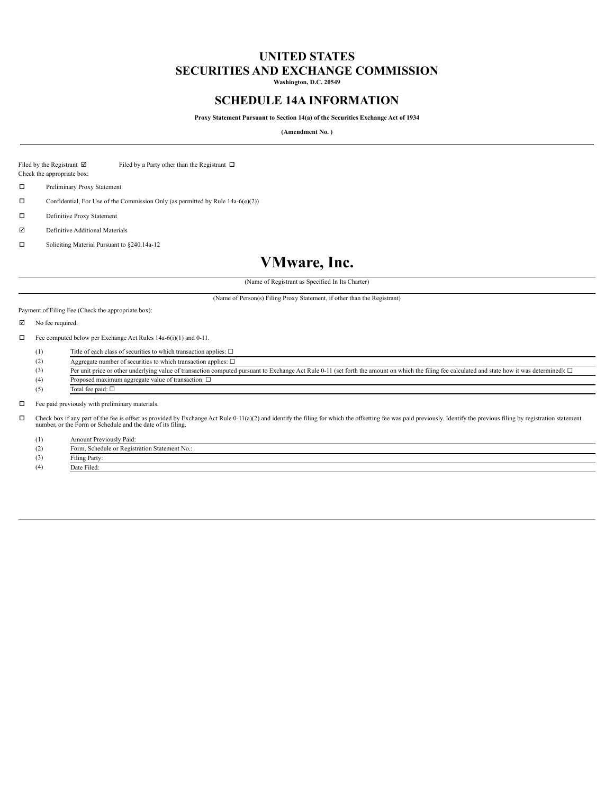## **UNITED STATES SECURITIES AND EXCHANGE COMMISSION**

**Washington, D.C. 20549**

### **SCHEDULE 14A INFORMATION**

**Proxy Statement Pursuant to Section 14(a) of the Securities Exchange Act of 1934**

**(Amendment No. )**

Filed by the Registrant  $\boxtimes$  Filed by a Party other than the Registrant  $\Box$ 

Check the appropriate box:

o Preliminary Proxy Statement

 $\Box$  Confidential, For Use of the Commission Only (as permitted by Rule 14a-6(e)(2))

 $\Box$  Definitive Proxy Statement

 $\nabla$  Definitive Additional Materials

 $\square$  Soliciting Material Pursuant to §240.14a-12

# **VMware, Inc.**

(Name of Registrant as Specified In Its Charter)

(Name of Person(s) Filing Proxy Statement, if other than the Registrant)

Payment of Filing Fee (Check the appropriate box):

 $\nabla$  No fee required.

 $\Box$  Fee computed below per Exchange Act Rules 14a-6(i)(1) and 0-11.

(1) Title of each class of securities to which transaction applies: ☐

|     | Aggregate number of securities to which transaction applies: $\square$                                                                                                                                   |
|-----|----------------------------------------------------------------------------------------------------------------------------------------------------------------------------------------------------------|
|     | Per unit price or other underlying value of transaction computed pursuant to Exchange Act Rule 0-11 (set forth the amount on which the filing fee calculated and state how it was determined): $\square$ |
| (4) | Proposed maximum aggregate value of transaction: $\square$                                                                                                                                               |
| (5) | Total fee paid: $\square$                                                                                                                                                                                |

 $\Box$  Fee paid previously with preliminary materials.

 $\square$  Check box if any part of the fee is offset as provided by Exchange Act Rule 0-11(a)(2) and identify the filing for which the offsetting fee was paid previously. Identify the previous filing by registration statement number, or the Form or Schedule and the date of its filing.

(1) Amount Previously Paid:

(2) Form, Schedule or Registration Statement No.:

(3) Filing Party:

(4) Date Filed: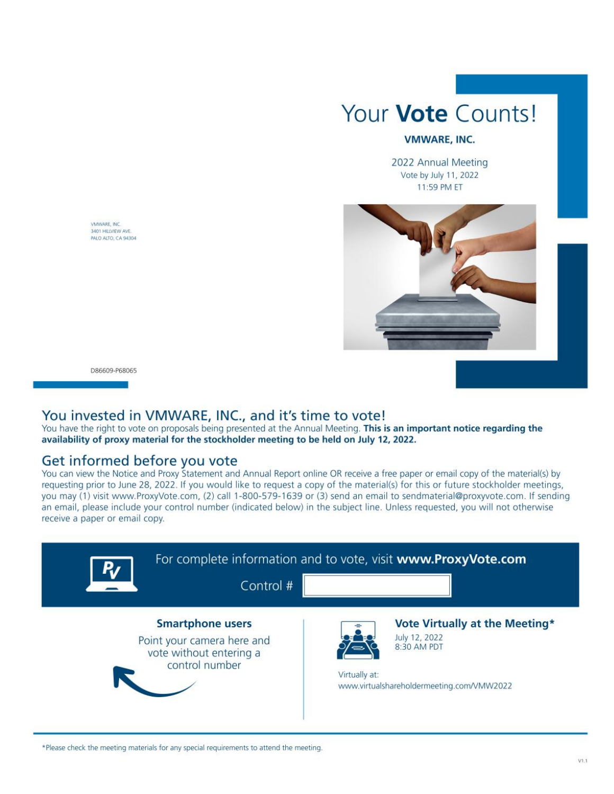

#### **VMWARE, INC.**

2022 Annual Meeting Vote by July 11, 2022 11:59 PM ET



VMWARE, INC. 3401 HILLVIEW AVE PALO ALTO, CA 94304

D86609-P68065

## You invested in VMWARE, INC., and it's time to vote!

You have the right to vote on proposals being presented at the Annual Meeting. This is an important notice regarding the availability of proxy material for the stockholder meeting to be held on July 12, 2022.

## Get informed before you vote

You can view the Notice and Proxy Statement and Annual Report online OR receive a free paper or email copy of the material(s) by requesting prior to June 28, 2022. If you would like to request a copy of the material(s) for this or future stockholder meetings, you may (1) visit www.ProxyVote.com, (2) call 1-800-579-1639 or (3) send an email to sendmaterial@proxyvote.com. If sending an email, please include your control number (indicated below) in the subject line. Unless requested, you will not otherwise receive a paper or email copy.

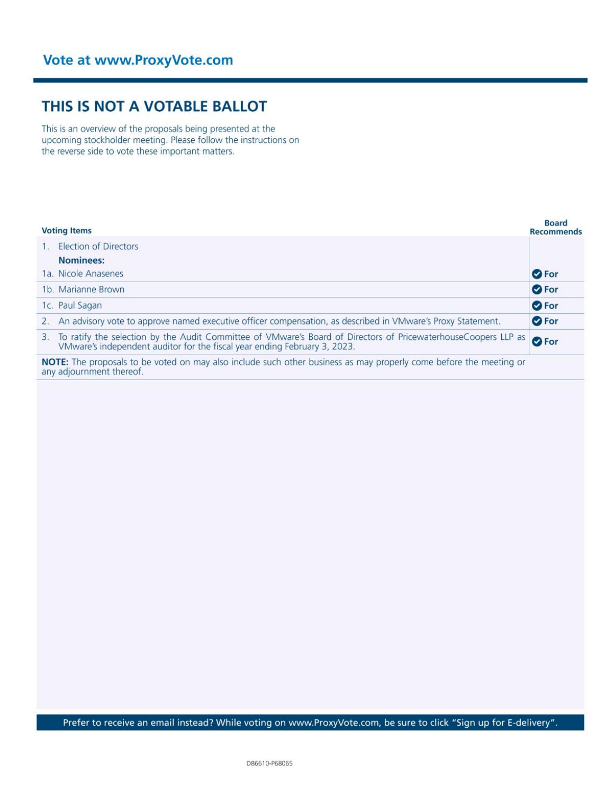# THIS IS NOT A VOTABLE BALLOT

This is an overview of the proposals being presented at the upcoming stockholder meeting. Please follow the instructions on the reverse side to vote these important matters.

| <b>Voting Items</b> |                                                                                                                                                                                             | <b>Board</b><br><b>Recommends</b> |  |
|---------------------|---------------------------------------------------------------------------------------------------------------------------------------------------------------------------------------------|-----------------------------------|--|
|                     | <b>Election of Directors</b>                                                                                                                                                                |                                   |  |
|                     | <b>Nominees:</b>                                                                                                                                                                            |                                   |  |
|                     | 1a. Nicole Anasenes                                                                                                                                                                         | <b>O</b> For                      |  |
|                     | 1b. Marianne Brown                                                                                                                                                                          | <b>O</b> For                      |  |
|                     | 1c. Paul Sagan                                                                                                                                                                              | <b>O</b> For                      |  |
|                     | An advisory vote to approve named executive officer compensation, as described in VMware's Proxy Statement.                                                                                 | <b>O</b> For                      |  |
| 3.                  | To ratify the selection by the Audit Committee of VMware's Board of Directors of PricewaterhouseCoopers LLP as<br>VMware's independent auditor for the fiscal year ending February 3, 2023. | <b>O</b> For                      |  |
|                     | NOTE: The proposals to be voted on may also include such other business as may properly come before the meeting or                                                                          |                                   |  |

any adjournment thereof.

Prefer to receive an email instead? While voting on www.ProxyVote.com, be sure to click "Sign up for E-delivery".